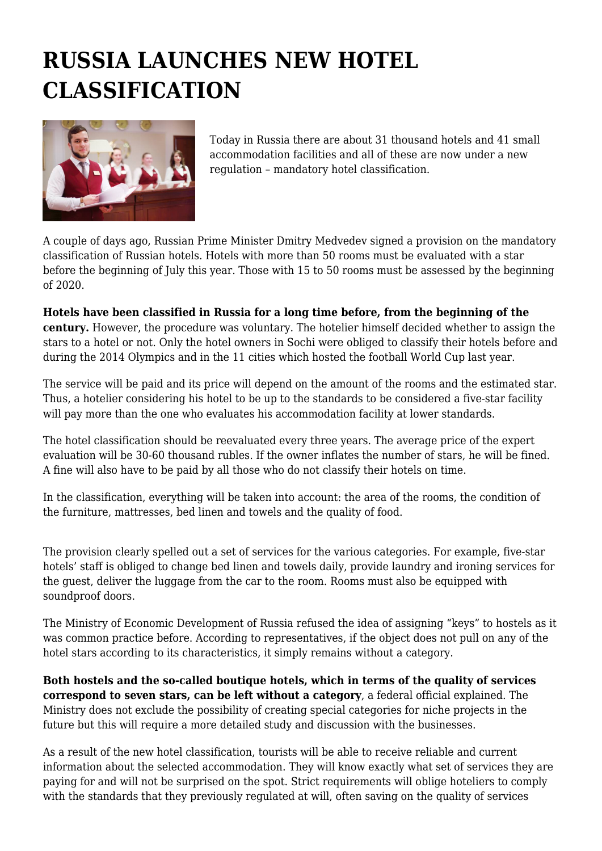## **RUSSIA LAUNCHES NEW HOTEL CLASSIFICATION**



Today in Russia there are about 31 thousand hotels and 41 small accommodation facilities and all of these are now under a new regulation – mandatory hotel classification.

A couple of days ago, Russian Prime Minister Dmitry Medvedev signed a provision on the mandatory classification of Russian hotels. Hotels with more than 50 rooms must be evaluated with a star before the beginning of July this year. Those with 15 to 50 rooms must be assessed by the beginning of 2020.

**Hotels have been classified in Russia for a long time before, from the beginning of the century.** However, the procedure was voluntary. The hotelier himself decided whether to assign the stars to a hotel or not. Only the hotel owners in Sochi were obliged to classify their hotels before and during the 2014 Olympics and in the 11 cities which hosted the football World Cup last year.

The service will be paid and its price will depend on the amount of the rooms and the estimated star. Thus, a hotelier considering his hotel to be up to the standards to be considered a five-star facility will pay more than the one who evaluates his accommodation facility at lower standards.

The hotel classification should be reevaluated every three years. The average price of the expert evaluation will be 30-60 thousand rubles. If the owner inflates the number of stars, he will be fined. A fine will also have to be paid by all those who do not classify their hotels on time.

In the classification, everything will be taken into account: the area of the rooms, the condition of the furniture, mattresses, bed linen and towels and the quality of food.

The provision clearly spelled out a set of services for the various categories. For example, five-star hotels' staff is obliged to change bed linen and towels daily, provide laundry and ironing services for the guest, deliver the luggage from the car to the room. Rooms must also be equipped with soundproof doors.

The Ministry of Economic Development of Russia refused the idea of assigning "keys" to hostels as it was common practice before. According to representatives, if the object does not pull on any of the hotel stars according to its characteristics, it simply remains without a category.

**Both hostels and the so-called boutique hotels, which in terms of the quality of services correspond to seven stars, can be left without a category**, a federal official explained. The Ministry does not exclude the possibility of creating special categories for niche projects in the future but this will require a more detailed study and discussion with the businesses.

As a result of the new hotel classification, tourists will be able to receive reliable and current information about the selected accommodation. They will know exactly what set of services they are paying for and will not be surprised on the spot. Strict requirements will oblige hoteliers to comply with the standards that they previously regulated at will, often saving on the quality of services